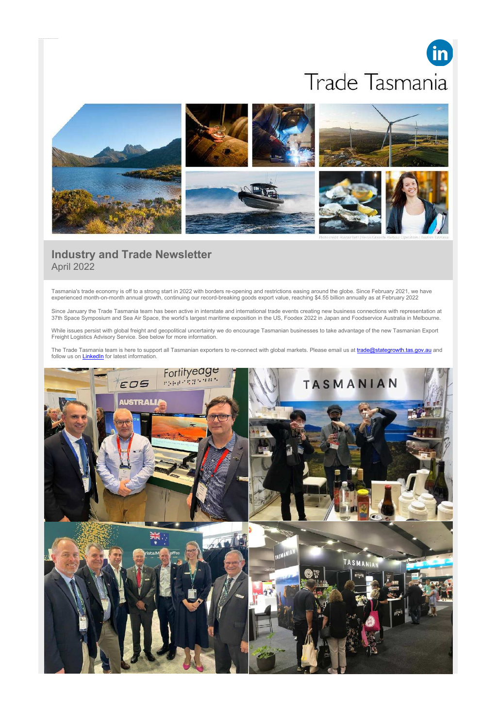# in Trade Tasmania



# **Industry and Trade Newsletter** April 2022

Tasmania's trade economy is off to a strong start in 2022 with borders re-opening and restrictions easing around the globe. Since February 2021, we have experienced month-on-month annual growth, continuing our record-breaking goods export value, reaching \$4.55 billion annually as at February 2022

Since January the Trade Tasmania team has been active in interstate and international trade events creating new business connections with representation at 37th Space Symposium and Sea Air Space, the world's largest maritime exposition in the US, Foodex 2022 in Japan and Foodservice Australia in Melbourne.

While issues persist with global freight and geopolitical uncertainty we do encourage Tasmanian businesses to take advantage of the new Tasmanian Export Freight Logistics Advisory Service. See below for more information.

The Trade Tasmania team is here to support all Tasmanian exporters to re-connect with global markets. Please email us at *trade@stategrowth.tas.gov.au* and follow us on **LinkedIn** for latest information.

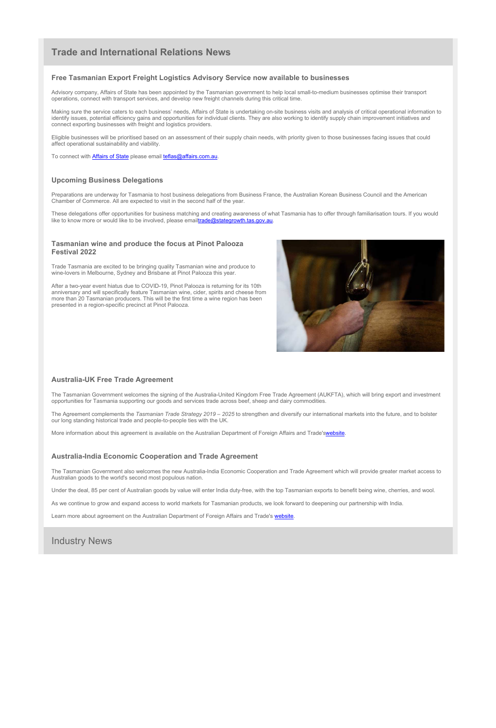## **Trade and International Relations News**

#### **Free Tasmanian Export Freight Logistics Advisory Service now available to businesses**

Advisory company, Affairs of State has been appointed by the Tasmanian government to help local small-to-medium businesses optimise their transport operations, connect with transport services, and develop new freight channels during this critical time.

Making sure the service caters to each business' needs, Affairs of State is undertaking on-site business visits and analysis of critical operational information to identify issues, potential efficiency gains and opportunities for individual clients. They are also working to identify supply chain improvement initiatives and connect exporting businesses with freight and logistics providers.

These delegations offer opportunities for business matching and creating awareness of what Tasmania has to offer through familiarisation tours. If you would like to know more or would like to be involved, please emailtrade@stategrowth.tas.gov.au.

Eligible businesses will be prioritised based on an assessment of their supply chain needs, with priority given to those businesses facing issues that could affect operational sustainability and viability.

To connect with Affairs of State please email teflas@affairs.com.au.

#### **Upcoming Business Delegations**

Preparations are underway for Tasmania to host business delegations from Business France, the Australian Korean Business Council and the American Chamber of Commerce. All are expected to visit in the second half of the year.

#### **Tasmanian wine and produce the focus at Pinot Palooza Festival 2022**

Trade Tasmania are excited to be bringing quality Tasmanian wine and produce to wine-lovers in Melbourne, Sydney and Brisbane at Pinot Palooza this year.

After a two-year event hiatus due to COVID-19, Pinot Palooza is returning for its 10th anniversary and will specifically feature Tasmanian wine, cider, spirits and cheese from more than 20 Tasmanian producers. This will be the first time a wine region has been presented in a region-specific precinct at Pinot Palooza.



#### **Australia-UK Free Trade Agreement**

The Tasmanian Government welcomes the signing of the Australia-United Kingdom Free Trade Agreement (AUKFTA), which will bring export and investment opportunities for Tasmania supporting our goods and services trade across beef, sheep and dairy commodities.

The Agreement complements the *Tasmanian Trade Strategy 2019 – 2025* to strengthen and diversify our international markets into the future, and to bolster our long standing historical trade and people-to-people ties with the UK.

More information about this agreement is available on the Australian Department of Foreign Affairs and Trade'swebsite.

#### **Australia-India Economic Cooperation and Trade Agreement**

The Tasmanian Government also welcomes the new Australia-India Economic Cooperation and Trade Agreement which will provide greater market access to Australian goods to the world's second most populous nation.

Under the deal, 85 per cent of Australian goods by value will enter India duty-free, with the top Tasmanian exports to benefit being wine, cherries, and wool.

As we continue to grow and expand access to world markets for Tasmanian products, we look forward to deepening our partnership with India.

Learn more about agreement on the Australian Department of Foreign Affairs and Trade's website.

Industry News